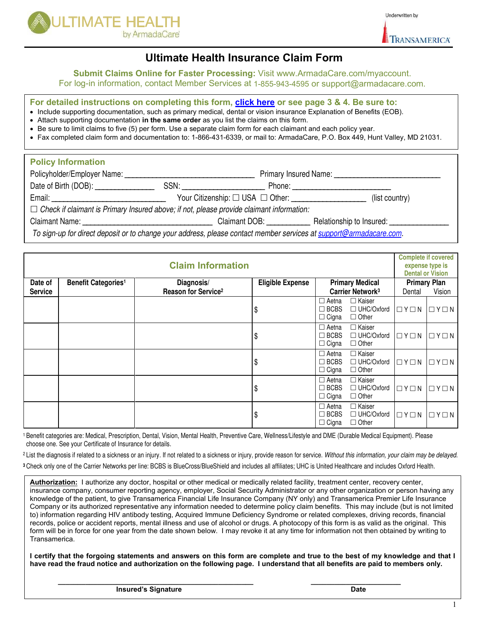

TRANSAMERICA

Underwritten by

### **Ultimate Health Insurance Claim Form**

**Submit Claims Online for Faster Processing:** Visit [www.ArmadaCare.com/myaccount.](http://www.armadacare.com/myaccount)

For log-in information, contact Member Services at 1-855-943-4595 or support@armadacare.com.

**For detailed instructions on completing this form, [click here](#page-2-0) or see page 3 & 4. Be sure to:** 

- Include supporting documentation, such as primary medical, dental or vision insurance Explanation of Benefits (EOB).
- Attach supporting documentation **in the same order** as you list the claims on this form.
- Be sure to limit claims to five (5) per form. Use a separate claim form for each claimant and each policy year.
- Fax completed claim form and documentation to: 1-866-431-6339, or mail to: ArmadaCare, P.O. Box 449, Hunt Valley, MD 21031.

| <b>Policy Information</b>                                                                                                                                                                                                      |                                                                                                                                                                                                                                |                                  |                                                                                                                                                                                                                                |
|--------------------------------------------------------------------------------------------------------------------------------------------------------------------------------------------------------------------------------|--------------------------------------------------------------------------------------------------------------------------------------------------------------------------------------------------------------------------------|----------------------------------|--------------------------------------------------------------------------------------------------------------------------------------------------------------------------------------------------------------------------------|
| Policyholder/Employer Name:                                                                                                                                                                                                    |                                                                                                                                                                                                                                |                                  |                                                                                                                                                                                                                                |
|                                                                                                                                                                                                                                | SSN: Andrew SSN: Andrew SSN: Andrew SSN: Andrew SSN: Andrew SSN: Andrew SSN: Andrew SSN: Andrew SSN: Andrew SSN: Andrew SSN: Andrew SSN: Andrew SSN: Andrew SSN: Andrew SSN: Andrew SSN: Andrew SSN: Andrew SSN: Andrew SSN: A |                                  | Phone: the contract of the contract of the contract of the contract of the contract of the contract of the contract of the contract of the contract of the contract of the contract of the contract of the contract of the con |
| Email: Email: Email: Email: Email: Email: Email: Email: Email: Email: Email: Email: Email: Email: Email: Email: Email: Email: Email: Email: Email: Email: Email: Email: Email: Email: Email: Email: Email: Email: Email: Email |                                                                                                                                                                                                                                | Your Citizenship: □ USA □ Other: | (list country)                                                                                                                                                                                                                 |
| $\Box$ Check if claimant is Primary Insured above; if not, please provide claimant information:                                                                                                                                |                                                                                                                                                                                                                                |                                  |                                                                                                                                                                                                                                |
| Claimant Name: The Claimant Name of the Claimant Name of the Claiman of the Claiman of the Claiman of the Claiman of the Claiman of the Claiman of the Claiman of the Claiman of the Claiman of the Claiman of the Claiman of  |                                                                                                                                                                                                                                | Claimant DOB: <b>Claimant</b>    | Relationship to Insured: ________                                                                                                                                                                                              |
| To sign-up for direct deposit or to change your address, please contact member services at support@armadacare.com.                                                                                                             |                                                                                                                                                                                                                                |                                  |                                                                                                                                                                                                                                |

| <b>Claim Information</b> |                                       |                                 |                         |                                             |                                                    | <b>Complete if covered</b><br>expense type is<br><b>Dental or Vision</b> |                   |
|--------------------------|---------------------------------------|---------------------------------|-------------------------|---------------------------------------------|----------------------------------------------------|--------------------------------------------------------------------------|-------------------|
| Date of                  | <b>Benefit Categories<sup>1</sup></b> | Diagnosis/                      | <b>Eligible Expense</b> |                                             | <b>Primary Medical</b>                             | <b>Primary Plan</b>                                                      |                   |
| <b>Service</b>           |                                       | Reason for Service <sup>2</sup> |                         | Carrier Network <sup>3</sup>                |                                                    | Dental                                                                   | Vision            |
|                          |                                       |                                 | \$                      | $\Box$ Aetna<br>$\Box$ BCBS<br>$\Box$ Cigna | $\Box$ Kaiser<br>$\Box$ UHC/Oxford<br>$\Box$ Other | $\Box$ $Y \Box N$                                                        | $\Box$ $Y \Box$ N |
|                          |                                       |                                 | \$                      | $\Box$ Aetna<br>$\Box$ BCBS<br>$\Box$ Cigna | □ Kaiser<br>$\Box$ UHC/Oxford<br>$\Box$ Other      | $\Box$ $Y \Box N$                                                        | $\Box$ $Y \Box$ N |
|                          |                                       |                                 | \$                      | $\Box$ Aetna<br>$\Box$ BCBS<br>$\Box$ Cigna | $\Box$ Kaiser<br>$\Box$ UHC/Oxford<br>$\Box$ Other | $\Box Y \Box N$                                                          | $\Box$ $Y \Box N$ |
|                          |                                       |                                 | \$                      | $\Box$ Aetna<br>$\Box$ BCBS<br>$\Box$ Cigna | $\Box$ Kaiser<br>$\Box$ UHC/Oxford<br>$\Box$ Other | $\Box$ $Y \Box N$                                                        | $\Box$ $Y \Box$ N |
|                          |                                       |                                 | \$                      | $\Box$ Aetna<br>$\Box$ BCBS<br>$\Box$ Cigna | $\Box$ Kaiser<br>$\Box$ UHC/Oxford<br>$\Box$ Other | $\Box$ $Y \Box N$                                                        | $\Box$ $Y \Box N$ |

<sup>1</sup>Benefit categories are: Medical, Prescription, Dental, Vision, Mental Health, Preventive Care, Wellness/Lifestyle and DME (Durable Medical Equipment). Please choose one. See your Certificate of Insurance for details.

<sup>2</sup> List the diagnosis if related to a sickness or an injury. If not related to a sickness or injury, provide reason for service. Without this information, your claim may be delayed.

**<sup>3</sup>** Check only one of the Carrier Networks per line: BCBS is BlueCross/BlueShield and includes all affiliates; UHC is United Healthcare and includes Oxford Health*.*

 insurance company, consumer reporting agency, employer, Social Security Administrator or any other organization or person having any **Authorization:** I authorize any doctor, hospital or other medical or medically related facility, treatment center, recovery center, knowledge of the patient, to give Transamerica Financial Life Insurance Company (NY only) and Transamerica Premier Life Insurance Company or its authorized representative any information needed to determine policy claim benefits. This may include (but is not limited to) information regarding HIV antibody testing, Acquired Immune Deficiency Syndrome or related complexes, driving records, financial records, police or accident reports, mental illness and use of alcohol or drugs. A photocopy of this form is as valid as the original. This form will be in force for one year from the date shown below. I may revoke it at any time for information not then obtained by writing to Transamerica.

**I certify that the forgoing statements and answers on this form are complete and true to the best of my knowledge and that I have read the fraud notice and authorization on the following page. I understand that all benefits are paid to members only.**

**\_\_\_\_\_\_\_\_\_\_\_\_\_\_\_\_\_\_\_\_\_\_\_\_\_\_\_\_\_\_\_\_\_\_\_\_\_\_\_\_\_\_\_\_\_\_\_\_\_\_ \_\_\_\_\_\_\_\_\_\_\_\_\_\_\_\_\_\_\_\_\_\_\_**

**Insured's Signature Date Accord Property Control Date**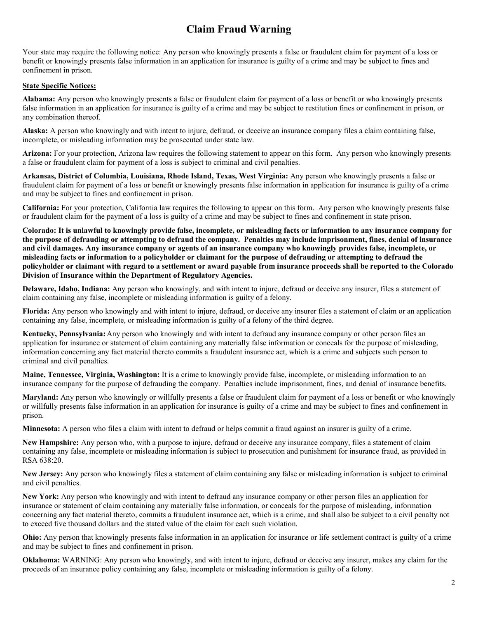## **Claim Fraud Warning**

Your state may require the following notice: Any person who knowingly presents a false or fraudulent claim for payment of a loss or benefit or knowingly presents false information in an application for insurance is guilty of a crime and may be subject to fines and confinement in prison.

#### **State Specific Notices:**

**Alabama:** Any person who knowingly presents a false or fraudulent claim for payment of a loss or benefit or who knowingly presents false information in an application for insurance is guilty of a crime and may be subject to restitution fines or confinement in prison, or any combination thereof.

**Alaska:** A person who knowingly and with intent to injure, defraud, or deceive an insurance company files a claim containing false, incomplete, or misleading information may be prosecuted under state law.

**Arizona:** For your protection, Arizona law requires the following statement to appear on this form. Any person who knowingly presents a false or fraudulent claim for payment of a loss is subject to criminal and civil penalties.

**Arkansas, District of Columbia, Louisiana, Rhode Island, Texas, West Virginia:** Any person who knowingly presents a false or fraudulent claim for payment of a loss or benefit or knowingly presents false information in application for insurance is guilty of a crime and may be subject to fines and confinement in prison.

**California:** For your protection, California law requires the following to appear on this form. Any person who knowingly presents false or fraudulent claim for the payment of a loss is guilty of a crime and may be subject to fines and confinement in state prison.

**Colorado: It is unlawful to knowingly provide false, incomplete, or misleading facts or information to any insurance company for the purpose of defrauding or attempting to defraud the company. Penalties may include imprisonment, fines, denial of insurance and civil damages. Any insurance company or agents of an insurance company who knowingly provides false, incomplete, or misleading facts or information to a policyholder or claimant for the purpose of defrauding or attempting to defraud the policyholder or claimant with regard to a settlement or award payable from insurance proceeds shall be reported to the Colorado Division of Insurance within the Department of Regulatory Agencies.**

**Delaware, Idaho, Indiana:** Any person who knowingly, and with intent to injure, defraud or deceive any insurer, files a statement of claim containing any false, incomplete or misleading information is guilty of a felony.

**Florida:** Any person who knowingly and with intent to injure, defraud, or deceive any insurer files a statement of claim or an application containing any false, incomplete, or misleading information is guilty of a felony of the third degree.

**Kentucky, Pennsylvania:**Any person who knowingly and with intent to defraud any insurance company or other person files an application for insurance or statement of claim containing any materially false information or conceals for the purpose of misleading, information concerning any fact material thereto commits a fraudulent insurance act, which is a crime and subjects such person to criminal and civil penalties.

**Maine, Tennessee, Virginia, Washington:** It is a crime to knowingly provide false, incomplete, or misleading information to an insurance company for the purpose of defrauding the company. Penalties include imprisonment, fines, and denial of insurance benefits.

**Maryland:** Any person who knowingly or willfully presents a false or fraudulent claim for payment of a loss or benefit or who knowingly or willfully presents false information in an application for insurance is guilty of a crime and may be subject to fines and confinement in prison.

**Minnesota:** A person who files a claim with intent to defraud or helps commit a fraud against an insurer is guilty of a crime.

**New Hampshire:** Any person who, with a purpose to injure, defraud or deceive any insurance company, files a statement of claim containing any false, incomplete or misleading information is subject to prosecution and punishment for insurance fraud, as provided in RSA 638:20.

**New Jersey:** Any person who knowingly files a statement of claim containing any false or misleading information is subject to criminal and civil penalties.

**New York:** Any person who knowingly and with intent to defraud any insurance company or other person files an application for insurance or statement of claim containing any materially false information, or conceals for the purpose of misleading, information concerning any fact material thereto, commits a fraudulent insurance act, which is a crime, and shall also be subject to a civil penalty not to exceed five thousand dollars and the stated value of the claim for each such violation.

**Ohio:** Any person that knowingly presents false information in an application for insurance or life settlement contract is guilty of a crime and may be subject to fines and confinement in prison.

**Oklahoma:** WARNING: Any person who knowingly, and with intent to injure, defraud or deceive any insurer, makes any claim for the proceeds of an insurance policy containing any false, incomplete or misleading information is guilty of a felony.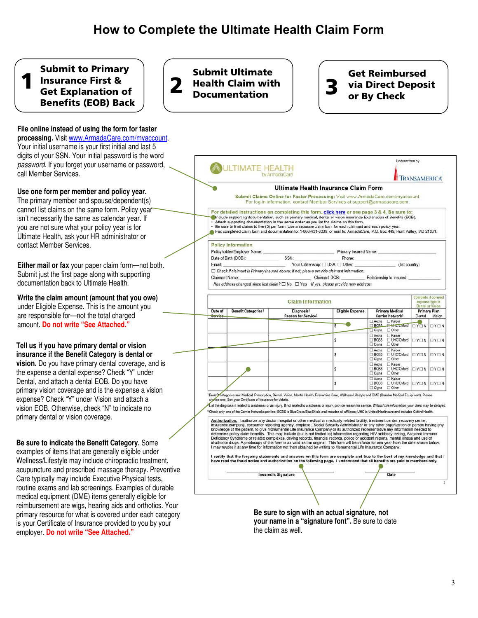#### <span id="page-2-0"></span>Submit to Primary Insurance First & Get Explanation of Benefits (EOB) Back 1

**File online instead of using the form for faster processing.** Visit [www.ArmadaCare.com/myaccount.](http://www.armadacare.com/myaccount)  Your initial username is your first initial and last 5 digits of your SSN. Your initial password is the word *password*. If you forget your username or password, call Member Services.

#### **Use one form per member and policy year.**

The primary member and spouse/dependent(s) cannot list claims on the same form. Policy year isn't necessarily the same as calendar year. If you are not sure what your policy year is for Ultimate Health, ask your HR administrator or contact Member Services.

**Either mail or fax** your paper claim form—not both. Submit just the first page along with supporting documentation back to Ultimate Health.

**Write the claim amount (amount that you owe)**  under Eligible Expense. This is the amount you are responsible for—not the total charged amount. **Do not write "See Attached."**

#### **Tell us if you have primary dental or vision insurance if the Benefit Category is dental or**

**vision.** Do you have primary dental coverage, and is the expense a dental expense? Check "Y" under Dental, and attach a dental EOB. Do you have primary vision coverage and is the expense a vision expense? Check "Y" under Vision and attach a vision EOB. Otherwise, check "N" to indicate no primary dental or vision coverage.

#### **Be sure to indicate the Benefit Category.** Some

examples of items that are generally eligible under Wellness/Lifestyle may include chiropractic treatment, acupuncture and prescribed massage therapy. Preventive Care typically may include Executive Physical tests, routine exams and lab screenings. Examples of durable medical equipment (DME) items generally eligible for reimbursement are wigs, hearing aids and orthotics. Your primary resource for what is covered under each category is your Certificate of Insurance provided to you by your employer. **Do not write "See Attached."**

Submit Ultimate **Health Claim with Documentation** 

# Get Reimbursed **3** via Direct Deposit<br>or By Check

Underwritten by **OULTIMATE HEALTH** by ArmadaCare TRANSAMERICA Ultimate Health Insurance Claim Form Submit Claims Online for Faster Processing: Visit www.ArmadaCare.com/myaccount. For log-in information, contact Member Services at support@armadacare.com For detailed instructions on completing this form, click here or see page 3 & 4. Be sure to Include supporting documentation, such as primary medical, dental or vision insurance Explanation of Benefits (EOB) Attach supporting documentation in the same order as you list the claims on this form.<br>
Be sure to limit claims to five (5) per form. Use a separate claim form for each claimant and each policy year Fax completed claim form and documentation to: 1-866-431-6339, or mail to: ArmadaCare, P.O. Box 449, Hunt Valley, MD 21031. **Policy Information** Policyholder/Employer Name: Primary Insured Name: Date of Birth (DOB): Phone: SSN: Your Citizenship: [ USA [ Other: Email: (list country)  $\Box$  Check if claimant is Primary Insured above; if not, please provide claimant information: Claimant Name: Claimant DOB: Relationship to Insured: Has address changed since last claim?  $\Box$  No  $\Box$  Yes If yes, please provide new address. mplete if covere **Claim Information** expense type is tal or<sup>1</sup> **Primary Medical Benefit Categories1** Diagnosis/ **Eligible Expense** Date of **Primary Plan** Reason for Service<sup>3</sup> Carrier Network<sup>3</sup> Dental Vision Service El Kaiser<br>El <del>UI</del> iC Cxford UYUN ۰ **BCBS**  $\Box Y \Box N$  $\Box$  Other Cigna 1<br>| Aetna<br>| BCBS<br>| Cigna □ Kaiser<br>□ UHClOxford<br>□ Other ś  $\Box Y \Box N$  $\Box Y \Box N$ □ Kaiser<br>□ UHC/Oxford<br>□ Other nema<br>BCBS  $\Box Y \Box N$  $\Box Y \Box N$  $\Box$  Cigna □ Kaiser<br>□ UHClOxford<br>□ Other  $\neg$  4 Aetna<br>BCBS<br>Cigna ś OYON OYON T Ar □ Kaise **BCBS** UHC/Oxford  $TY \square N$  $\Box Y \Box N$ □ Cigna □ Other rfyKategories are: Medical, Prescription, Dental, Vision, Mental Health, Preventive Care, Wellness/Lifestyle and DME (Durable Medical Equipment). Pleas<br>Se one. See your Certificate of Insurance for details. <sup>1</sup>Benefit ca List the diagnosis if related to a sickness or an injury. If not related to a sickness or injury, provide reason for service. Without this information, your claim may be delayed. <sup>3</sup>Check only one of the Carrier Networks per line: ECBS is BlueCross/BlueShield and includes all affiliates; UHC is United Healthcare and includes Oxford Health Authorization: I authorize any doctor, hospital or other medical or medically related facility, treatment center, recovery center insurance company, consumer reporting agency, employer, Social Security Administrator or any other organization or person having any<br>knowledge of the patient, to give Monumental Life Insurance Company or its authorized rep Now the policy daim benefits. This may include (but is not limited to) information regarding HIV antibody testing, Acquired Immune<br>Deficiency Syntrome or related complexes, driving records, financial records, police or acc I certify that the forgoing statements and answers on this form are complete and true to the best of my knowledge and that I<br>have read the fraud notice and authorization on the following page. I understand that all benefit Insured's Signature Date **Be sure to sign with an actual signature, not your name in a "signature font".** Be sure to date